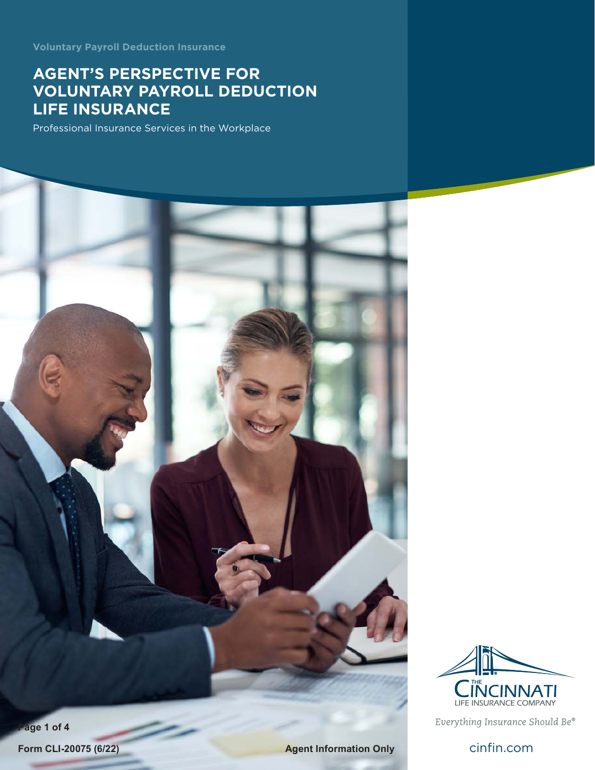**Voluntary Payroll Deduction Insurance**

# **AGENT'S PERSPECTIVE FOR VOLUNTARY PAYROLL DEDUCTION LIFE INSURANCE**

Professional Insurance Services in the Workplace

LIFE INSURANCE COMPANY

Everything Insurance Should Be®

**Page 1 of 4**

**Form CLI-20075 (6/22) Agent Information Only Cinfin.com**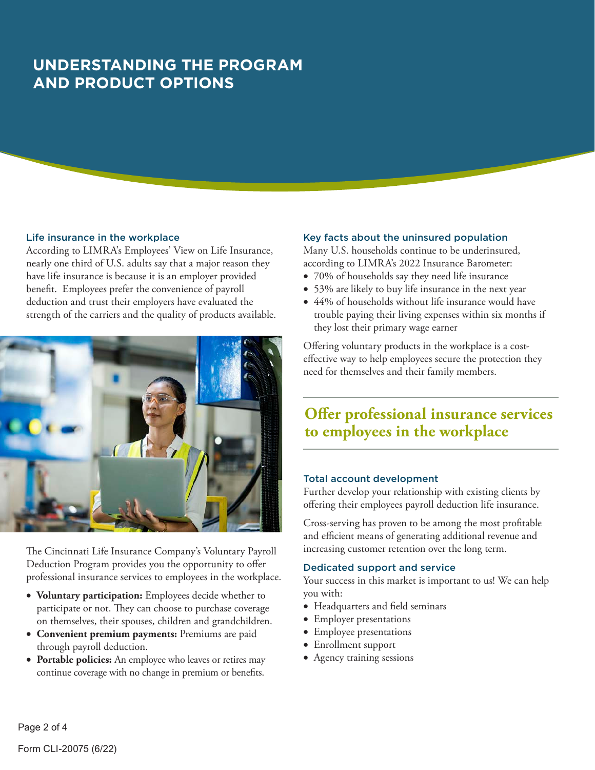# **UNDERSTANDING THE PROGRAM AND PRODUCT OPTIONS**

#### Life insurance in the workplace

According to LIMRA's Employees' View on Life Insurance, nearly one third of U.S. adults say that a major reason they have life insurance is because it is an employer provided benefit. Employees prefer the convenience of payroll deduction and trust their employers have evaluated the strength of the carriers and the quality of products available.



The Cincinnati Life Insurance Company's Voluntary Payroll Deduction Program provides you the opportunity to offer professional insurance services to employees in the workplace.

- • **Voluntary participation:** Employees decide whether to participate or not. They can choose to purchase coverage on themselves, their spouses, children and grandchildren.
- • **Convenient premium payments:** Premiums are paid through payroll deduction.
- • **Portable policies:** An employee who leaves or retires may continue coverage with no change in premium or benefits.

#### Key facts about the uninsured population

Many U.S. households continue to be underinsured, according to LIMRA's 2022 Insurance Barometer:

- 70% of households say they need life insurance
- 53% are likely to buy life insurance in the next year
- 44% of households without life insurance would have trouble paying their living expenses within six months if they lost their primary wage earner

Offering voluntary products in the workplace is a costeffective way to help employees secure the protection they need for themselves and their family members.

## **Offer professional insurance services to employees in the workplace**

### Total account development

Further develop your relationship with existing clients by offering their employees payroll deduction life insurance.

Cross-serving has proven to be among the most profitable and efficient means of generating additional revenue and increasing customer retention over the long term.

### Dedicated support and service

Your success in this market is important to us! We can help you with:

- • Headquarters and field seminars
- Employer presentations
- Employee presentations
- Enrollment support
- Agency training sessions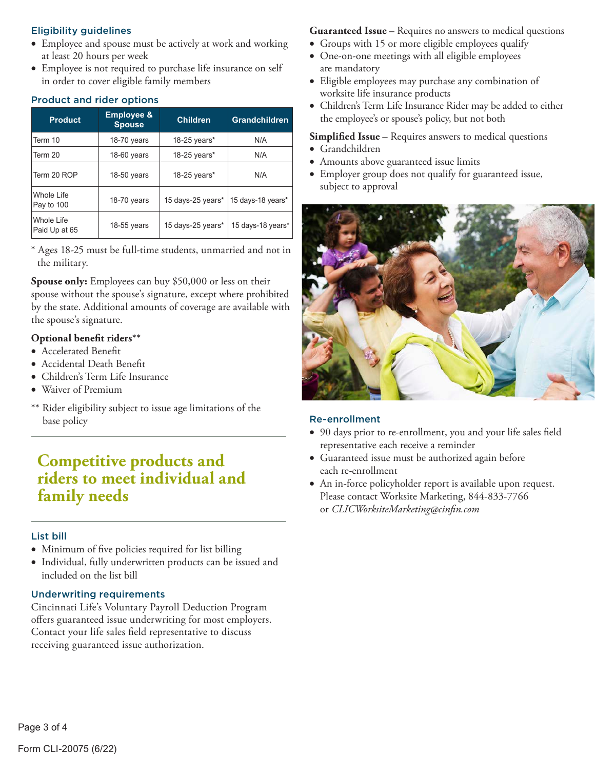### Eligibility guidelines

- Employee and spouse must be actively at work and working at least 20 hours per week
- • Employee is not required to purchase life insurance on self in order to cover eligible family members

### Product and rider options

| <b>Product</b>              | <b>Employee &amp;</b><br><b>Spouse</b> | <b>Children</b>   | <b>Grandchildren</b> |
|-----------------------------|----------------------------------------|-------------------|----------------------|
| Term 10                     | 18-70 years                            | 18-25 years*      | N/A                  |
| Term 20                     | $18-60$ years                          | 18-25 years $*$   | N/A                  |
| Term 20 ROP                 | 18-50 years                            | $18-25$ years*    | N/A                  |
| Whole Life<br>Pay to 100    | $18-70$ years                          | 15 days-25 years* | 15 days-18 years*    |
| Whole Life<br>Paid Up at 65 | $18-55$ years                          | 15 days-25 years* | 15 days-18 years*    |

\* Ages 18-25 must be full-time students, unmarried and not in the military.

**Spouse only:** Employees can buy \$50,000 or less on their spouse without the spouse's signature, except where prohibited by the state. Additional amounts of coverage are available with the spouse's signature.

### **Optional benefit riders\*\***

- • Accelerated Benefit
- • Accidental Death Benefit
- • Children's Term Life Insurance
- • Waiver of Premium
- \*\* Rider eligibility subject to issue age limitations of the base policy

## **Competitive products and riders to meet individual and family needs**

### List bill

- • Minimum of five policies required for list billing
- • Individual, fully underwritten products can be issued and included on the list bill

### Underwriting requirements

Cincinnati Life's Voluntary Payroll Deduction Program offers guaranteed issue underwriting for most employers. Contact your life sales field representative to discuss receiving guaranteed issue authorization.

**Guaranteed Issue** – Requires no answers to medical questions

- Groups with 15 or more eligible employees qualify • One-on-one meetings with all eligible employees
- are mandatory
- • Eligible employees may purchase any combination of worksite life insurance products
- • Children's Term Life Insurance Rider may be added to either the employee's or spouse's policy, but not both

### **Simplified Issue** – Requires answers to medical questions

- • Grandchildren
- • Amounts above guaranteed issue limits
- • Employer group does not qualify for guaranteed issue, subject to approval



### Re-enrollment

- • 90 days prior to re-enrollment, you and your life sales field representative each receive a reminder
- • Guaranteed issue must be authorized again before each re-enrollment
- • An in-force policyholder report is available upon request. Please contact Worksite Marketing, 844-833-7766 or *CLICWorksiteMarketing@cinfin.com*

Page 3 of 4